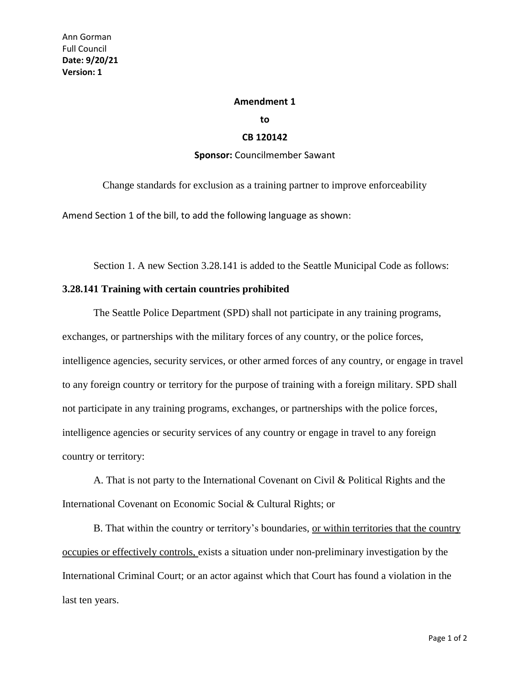## **Amendment 1**

**to**

## **CB 120142**

## **Sponsor:** Councilmember Sawant

Change standards for exclusion as a training partner to improve enforceability

Amend Section 1 of the bill, to add the following language as shown:

Section 1. A new Section 3.28.141 is added to the Seattle Municipal Code as follows:

## **3.28.141 Training with certain countries prohibited**

The Seattle Police Department (SPD) shall not participate in any training programs, exchanges, or partnerships with the military forces of any country, or the police forces, intelligence agencies, security services, or other armed forces of any country, or engage in travel to any foreign country or territory for the purpose of training with a foreign military. SPD shall not participate in any training programs, exchanges, or partnerships with the police forces, intelligence agencies or security services of any country or engage in travel to any foreign country or territory:

A. That is not party to the International Covenant on Civil & Political Rights and the International Covenant on Economic Social & Cultural Rights; or

B. That within the country or territory's boundaries, or within territories that the country occupies or effectively controls, exists a situation under non-preliminary investigation by the International Criminal Court; or an actor against which that Court has found a violation in the last ten years.